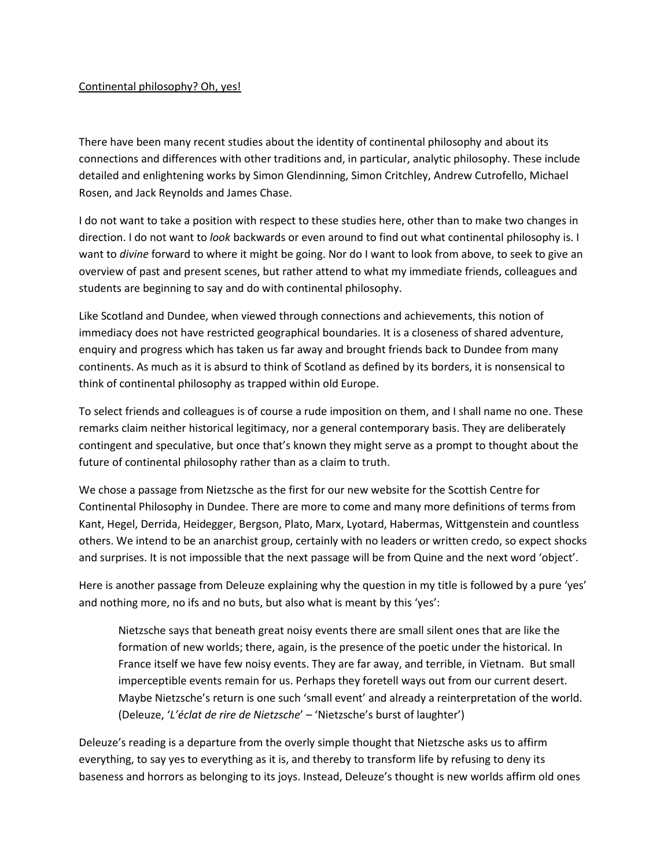## Continental philosophy? Oh, yes!

There have been many recent studies about the identity of continental philosophy and about its connections and differences with other traditions and, in particular, analytic philosophy. These include detailed and enlightening works by Simon Glendinning, Simon Critchley, Andrew Cutrofello, Michael Rosen, and Jack Reynolds and James Chase.

I do not want to take a position with respect to these studies here, other than to make two changes in direction. I do not want to *look* backwards or even around to find out what continental philosophy is. I want to *divine* forward to where it might be going. Nor do I want to look from above, to seek to give an overview of past and present scenes, but rather attend to what my immediate friends, colleagues and students are beginning to say and do with continental philosophy.

Like Scotland and Dundee, when viewed through connections and achievements, this notion of immediacy does not have restricted geographical boundaries. It is a closeness of shared adventure, enquiry and progress which has taken us far away and brought friends back to Dundee from many continents. As much as it is absurd to think of Scotland as defined by its borders, it is nonsensical to think of continental philosophy as trapped within old Europe.

To select friends and colleagues is of course a rude imposition on them, and I shall name no one. These remarks claim neither historical legitimacy, nor a general contemporary basis. They are deliberately contingent and speculative, but once that's known they might serve as a prompt to thought about the future of continental philosophy rather than as a claim to truth.

We chose a passage from Nietzsche as the first for our new website for the Scottish Centre for Continental Philosophy in Dundee. There are more to come and many more definitions of terms from Kant, Hegel, Derrida, Heidegger, Bergson, Plato, Marx, Lyotard, Habermas, Wittgenstein and countless others. We intend to be an anarchist group, certainly with no leaders or written credo, so expect shocks and surprises. It is not impossible that the next passage will be from Quine and the next word 'object'.

Here is another passage from Deleuze explaining why the question in my title is followed by a pure 'yes' and nothing more, no ifs and no buts, but also what is meant by this 'yes':

Nietzsche says that beneath great noisy events there are small silent ones that are like the formation of new worlds; there, again, is the presence of the poetic under the historical. In France itself we have few noisy events. They are far away, and terrible, in Vietnam. But small imperceptible events remain for us. Perhaps they foretell ways out from our current desert. Maybe Nietzsche's return is one such 'small event' and already a reinterpretation of the world. (Deleuze, '*L'éclat de rire de Nietzsche*' – 'Nietzsche's burst of laughter')

Deleuze's reading is a departure from the overly simple thought that Nietzsche asks us to affirm everything, to say yes to everything as it is, and thereby to transform life by refusing to deny its baseness and horrors as belonging to its joys. Instead, Deleuze's thought is new worlds affirm old ones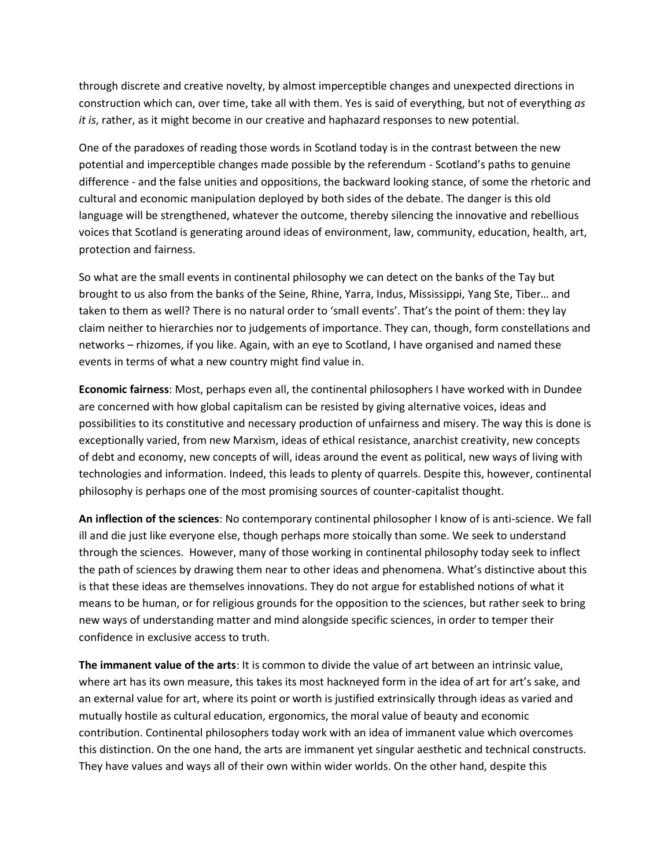through discrete and creative novelty, by almost imperceptible changes and unexpected directions in construction which can, over time, take all with them. Yes is said of everything, but not of everything *as it is*, rather, as it might become in our creative and haphazard responses to new potential.

One of the paradoxes of reading those words in Scotland today is in the contrast between the new potential and imperceptible changes made possible by the referendum - Scotland's paths to genuine difference - and the false unities and oppositions, the backward looking stance, of some the rhetoric and cultural and economic manipulation deployed by both sides of the debate. The danger is this old language will be strengthened, whatever the outcome, thereby silencing the innovative and rebellious voices that Scotland is generating around ideas of environment, law, community, education, health, art, protection and fairness.

So what are the small events in continental philosophy we can detect on the banks of the Tay but brought to us also from the banks of the Seine, Rhine, Yarra, Indus, Mississippi, Yang Ste, Tiber… and taken to them as well? There is no natural order to 'small events'. That's the point of them: they lay claim neither to hierarchies nor to judgements of importance. They can, though, form constellations and networks – rhizomes, if you like. Again, with an eye to Scotland, I have organised and named these events in terms of what a new country might find value in.

**Economic fairness**: Most, perhaps even all, the continental philosophers I have worked with in Dundee are concerned with how global capitalism can be resisted by giving alternative voices, ideas and possibilities to its constitutive and necessary production of unfairness and misery. The way this is done is exceptionally varied, from new Marxism, ideas of ethical resistance, anarchist creativity, new concepts of debt and economy, new concepts of will, ideas around the event as political, new ways of living with technologies and information. Indeed, this leads to plenty of quarrels. Despite this, however, continental philosophy is perhaps one of the most promising sources of counter-capitalist thought.

**An inflection of the sciences**: No contemporary continental philosopher I know of is anti-science. We fall ill and die just like everyone else, though perhaps more stoically than some. We seek to understand through the sciences. However, many of those working in continental philosophy today seek to inflect the path of sciences by drawing them near to other ideas and phenomena. What's distinctive about this is that these ideas are themselves innovations. They do not argue for established notions of what it means to be human, or for religious grounds for the opposition to the sciences, but rather seek to bring new ways of understanding matter and mind alongside specific sciences, in order to temper their confidence in exclusive access to truth.

**The immanent value of the arts**: It is common to divide the value of art between an intrinsic value, where art has its own measure, this takes its most hackneyed form in the idea of art for art's sake, and an external value for art, where its point or worth is justified extrinsically through ideas as varied and mutually hostile as cultural education, ergonomics, the moral value of beauty and economic contribution. Continental philosophers today work with an idea of immanent value which overcomes this distinction. On the one hand, the arts are immanent yet singular aesthetic and technical constructs. They have values and ways all of their own within wider worlds. On the other hand, despite this